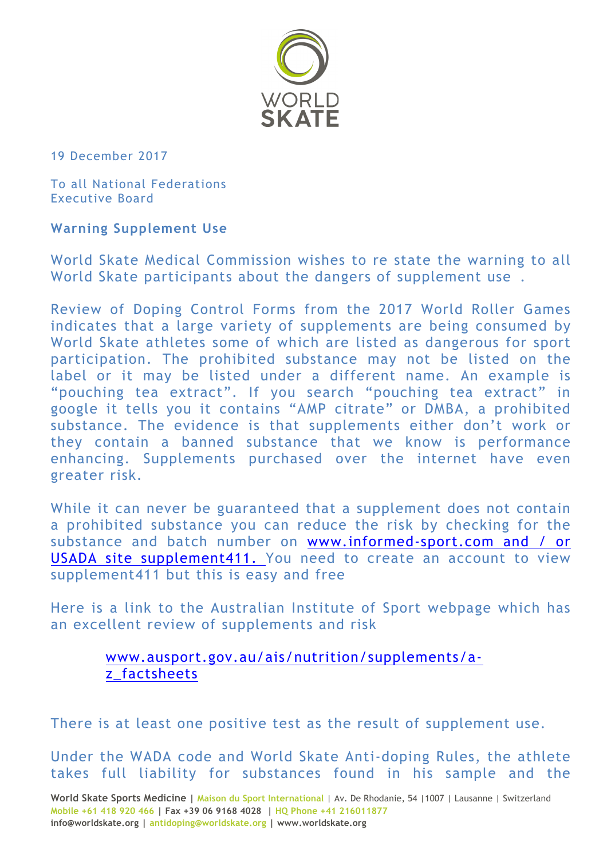

19 December 2017

To all National Federations Executive Board

## **Warning Supplement Use**

World Skate Medical Commission wishes to re state the warning to all World Skate participants about the dangers of supplement use .

Review of Doping Control Forms from the 2017 World Roller Games indicates that a large variety of supplements are being consumed by World Skate athletes some of which are listed as dangerous for sport participation. The prohibited substance may not be listed on the label or it may be listed under a different name. An example is "pouching tea extract". If you search "pouching tea extract" in google it tells you it contains "AMP citrate" or DMBA, a prohibited substance. The evidence is that supplements either don't work or they contain a banned substance that we know is performance enhancing. Supplements purchased over the internet have even greater risk.

While it can never be guaranteed that a supplement does not contain a prohibited substance you can reduce the risk by checking for the substance and batch number on www.informed-sport.com and / or USADA site supplement411. You need to create an account to view supplement411 but this is easy and free

Here is a link to the Australian Institute of Sport webpage which has an excellent review of supplements and risk

## www.ausport.gov.au/ais/nutrition/supplements/az\_factsheets

There is at least one positive test as the result of supplement use.

Under the WADA code and World Skate Anti-doping Rules, the athlete takes full liability for substances found in his sample and the